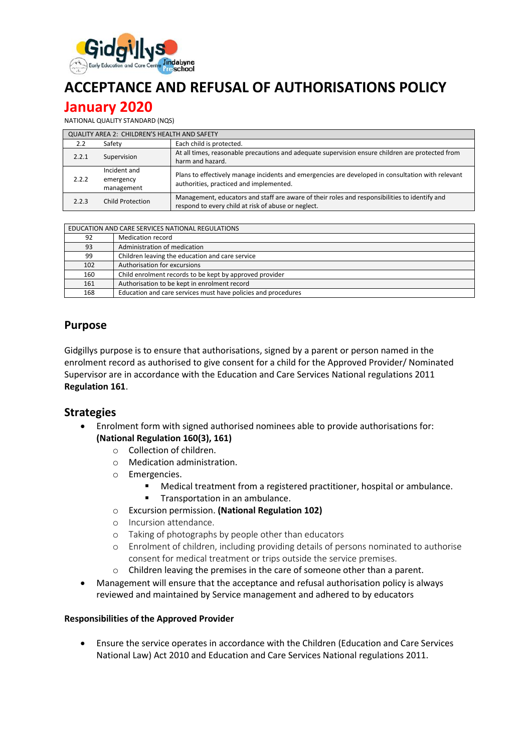

# **ACCEPTANCE AND REFUSAL OF AUTHORISATIONS POLICY**

# **January 2020**

NATIONAL QUALITY STANDARD (NQS)

|       | QUALITY AREA 2: CHILDREN'S HEALTH AND SAFETY |                                                                                                                                                      |  |  |  |
|-------|----------------------------------------------|------------------------------------------------------------------------------------------------------------------------------------------------------|--|--|--|
| 2.2   | Safety                                       | Each child is protected.                                                                                                                             |  |  |  |
| 2.2.1 | Supervision                                  | At all times, reasonable precautions and adequate supervision ensure children are protected from<br>harm and hazard.                                 |  |  |  |
| 2.2.2 | Incident and<br>emergency<br>management      | Plans to effectively manage incidents and emergencies are developed in consultation with relevant<br>authorities, practiced and implemented.         |  |  |  |
| 2.2.3 | Child Protection                             | Management, educators and staff are aware of their roles and responsibilities to identify and<br>respond to every child at risk of abuse or neglect. |  |  |  |

| EDUCATION AND CARE SERVICES NATIONAL REGULATIONS |                                                               |  |
|--------------------------------------------------|---------------------------------------------------------------|--|
| 92                                               | <b>Medication record</b>                                      |  |
| 93                                               | Administration of medication                                  |  |
| 99                                               | Children leaving the education and care service               |  |
| 102                                              | Authorisation for excursions                                  |  |
| 160                                              | Child enrolment records to be kept by approved provider       |  |
| 161                                              | Authorisation to be kept in enrolment record                  |  |
| 168                                              | Education and care services must have policies and procedures |  |

## **Purpose**

Gidgillys purpose is to ensure that authorisations, signed by a parent or person named in the enrolment record as authorised to give consent for a child for the Approved Provider/ Nominated Supervisor are in accordance with the Education and Care Services National regulations 2011 **Regulation 161**.

#### **Strategies**

- Enrolment form with signed authorised nominees able to provide authorisations for: **(National Regulation 160(3), 161)**
	- o Collection of children.
	- o Medication administration.
	- o Emergencies.
		- Medical treatment from a registered practitioner, hospital or ambulance.
		- Transportation in an ambulance.
	- o Excursion permission. **(National Regulation 102)**
	- o Incursion attendance.
	- o Taking of photographs by people other than educators
	- o Enrolment of children, including providing details of persons nominated to authorise consent for medical treatment or trips outside the service premises.
	- o Children leaving the premises in the care of someone other than a parent.
- Management will ensure that the acceptance and refusal authorisation policy is always reviewed and maintained by Service management and adhered to by educators

#### **Responsibilities of the Approved Provider**

• Ensure the service operates in accordance with the Children (Education and Care Services National Law) Act 2010 and Education and Care Services National regulations 2011.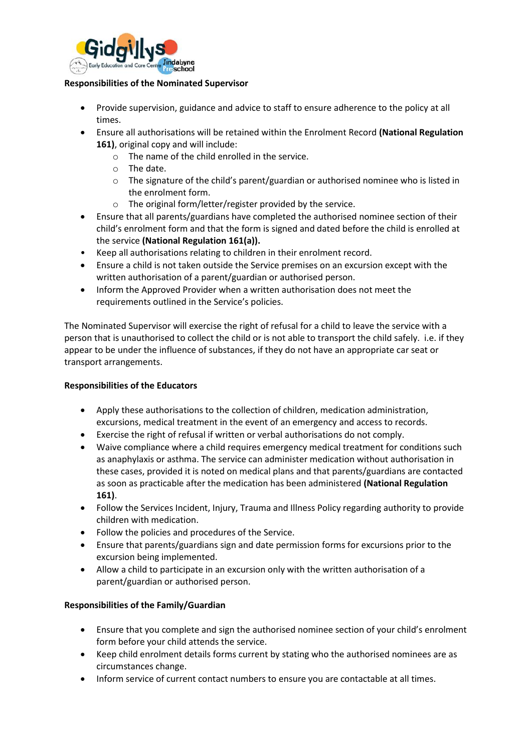

#### **Responsibilities of the Nominated Supervisor**

- Provide supervision, guidance and advice to staff to ensure adherence to the policy at all times.
- Ensure all authorisations will be retained within the Enrolment Record **(National Regulation 161)**, original copy and will include:
	- $\circ$  The name of the child enrolled in the service.
	- o The date.
	- $\circ$  The signature of the child's parent/guardian or authorised nominee who is listed in the enrolment form.
	- o The original form/letter/register provided by the service.
- Ensure that all parents/guardians have completed the authorised nominee section of their child's enrolment form and that the form is signed and dated before the child is enrolled at the service **(National Regulation 161(a)).**
- Keep all authorisations relating to children in their enrolment record.
- Ensure a child is not taken outside the Service premises on an excursion except with the written authorisation of a parent/guardian or authorised person.
- Inform the Approved Provider when a written authorisation does not meet the requirements outlined in the Service's policies.

The Nominated Supervisor will exercise the right of refusal for a child to leave the service with a person that is unauthorised to collect the child or is not able to transport the child safely. i.e. if they appear to be under the influence of substances, if they do not have an appropriate car seat or transport arrangements.

#### **Responsibilities of the Educators**

- Apply these authorisations to the collection of children, medication administration, excursions, medical treatment in the event of an emergency and access to records.
- Exercise the right of refusal if written or verbal authorisations do not comply.
- Waive compliance where a child requires emergency medical treatment for conditions such as anaphylaxis or asthma. The service can administer medication without authorisation in these cases, provided it is noted on medical plans and that parents/guardians are contacted as soon as practicable after the medication has been administered **(National Regulation 161)**.
- Follow the Services Incident, Injury, Trauma and Illness Policy regarding authority to provide children with medication.
- Follow the policies and procedures of the Service.
- Ensure that parents/guardians sign and date permission forms for excursions prior to the excursion being implemented.
- Allow a child to participate in an excursion only with the written authorisation of a parent/guardian or authorised person.

#### **Responsibilities of the Family/Guardian**

- Ensure that you complete and sign the authorised nominee section of your child's enrolment form before your child attends the service.
- Keep child enrolment details forms current by stating who the authorised nominees are as circumstances change.
- Inform service of current contact numbers to ensure you are contactable at all times.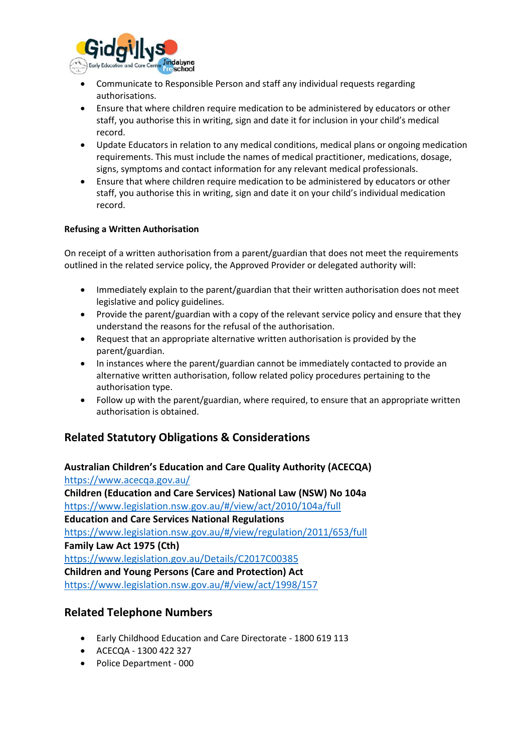

- Communicate to Responsible Person and staff any individual requests regarding authorisations.
- Ensure that where children require medication to be administered by educators or other staff, you authorise this in writing, sign and date it for inclusion in your child's medical record.
- Update Educators in relation to any medical conditions, medical plans or ongoing medication requirements. This must include the names of medical practitioner, medications, dosage, signs, symptoms and contact information for any relevant medical professionals.
- Ensure that where children require medication to be administered by educators or other staff, you authorise this in writing, sign and date it on your child's individual medication record.

#### **Refusing a Written Authorisation**

On receipt of a written authorisation from a parent/guardian that does not meet the requirements outlined in the related service policy, the Approved Provider or delegated authority will:

- Immediately explain to the parent/guardian that their written authorisation does not meet legislative and policy guidelines.
- Provide the parent/guardian with a copy of the relevant service policy and ensure that they understand the reasons for the refusal of the authorisation.
- Request that an appropriate alternative written authorisation is provided by the parent/guardian.
- In instances where the parent/guardian cannot be immediately contacted to provide an alternative written authorisation, follow related policy procedures pertaining to the authorisation type.
- Follow up with the parent/guardian, where required, to ensure that an appropriate written authorisation is obtained.

## **Related Statutory Obligations & Considerations**

**Australian Children's Education and Care Quality Authority (ACECQA)** <https://www.acecqa.gov.au/> **Children (Education and Care Services) National Law (NSW) No 104a** <https://www.legislation.nsw.gov.au/#/view/act/2010/104a/full> **Education and Care Services National Regulations** <https://www.legislation.nsw.gov.au/#/view/regulation/2011/653/full> **Family Law Act 1975 (Cth)** <https://www.legislation.gov.au/Details/C2017C00385> **Children and Young Persons (Care and Protection) Act** <https://www.legislation.nsw.gov.au/#/view/act/1998/157>

#### **Related Telephone Numbers**

- Early Childhood Education and Care Directorate 1800 619 113
- ACECQA 1300 422 327
- Police Department 000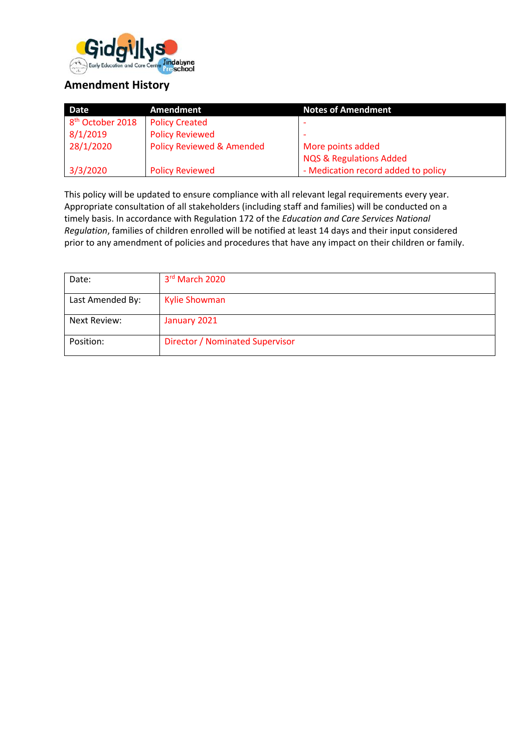

# **Amendment History**

| Date                         | Amendment                            | <b>Notes of Amendment</b>           |
|------------------------------|--------------------------------------|-------------------------------------|
| 8 <sup>th</sup> October 2018 | <b>Policy Created</b>                |                                     |
| 8/1/2019                     | <b>Policy Reviewed</b>               |                                     |
| 28/1/2020                    | <b>Policy Reviewed &amp; Amended</b> | More points added                   |
|                              |                                      | <b>NQS &amp; Regulations Added</b>  |
| 3/3/2020                     | <b>Policy Reviewed</b>               | - Medication record added to policy |

This policy will be updated to ensure compliance with all relevant legal requirements every year. Appropriate consultation of all stakeholders (including staff and families) will be conducted on a timely basis. In accordance with Regulation 172 of the *Education and Care Services National Regulation*, families of children enrolled will be notified at least 14 days and their input considered prior to any amendment of policies and procedures that have any impact on their children or family.

| Date:            | 3rd March 2020                  |
|------------------|---------------------------------|
| Last Amended By: | <b>Kylie Showman</b>            |
| Next Review:     | January 2021                    |
| Position:        | Director / Nominated Supervisor |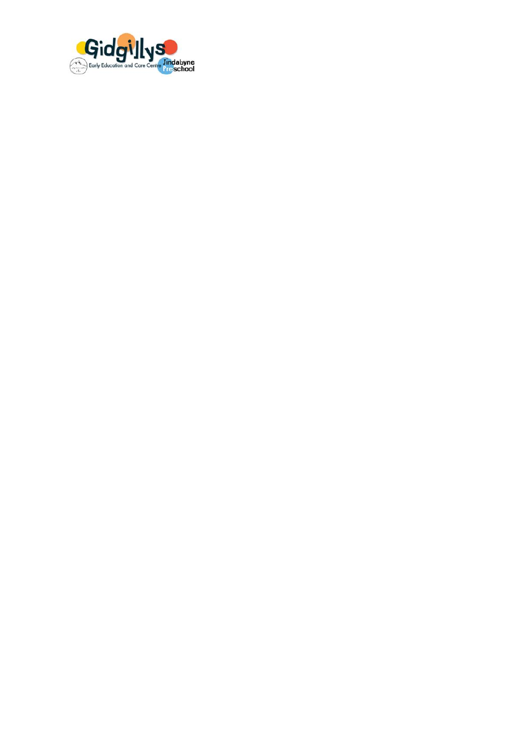